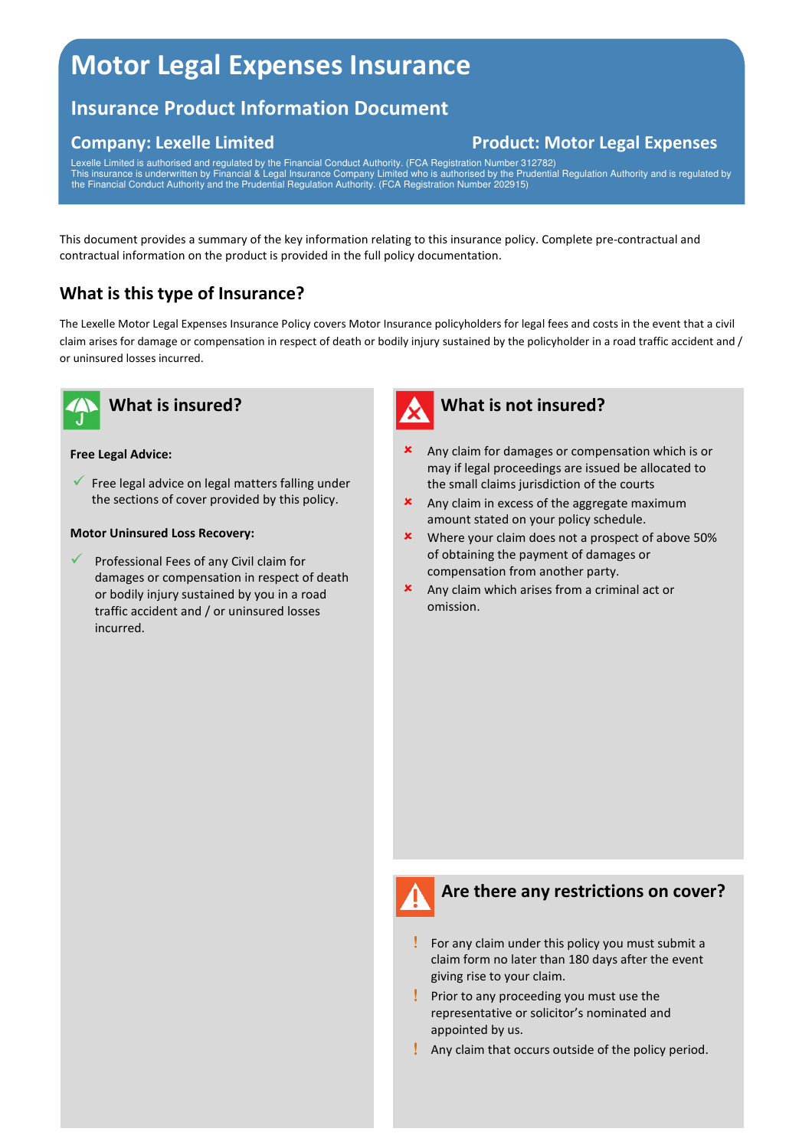# **Motor Legal Expenses Insurance**

# **Insurance Product Information Document**

# **Company: Lexelle Limited Company: Lexelle Limited Company: Lexelle Limited Company: Lexelle Limited Company: A Limited Company: A Limited Company: Lexelle Limited Company: Lexelle Limited Company: Lexelle Limited Company:**

Lexelle Limited is authorised and regulated by the Financial Conduct Authority. (FCA Registration Number 312782) This insurance is underwritten by Financial & Legal Insurance Company Limited who is authorised by the Prudential Regulation Authority and is regulated by the Financial Conduct Authority and the Prudential Regulation Authority. (FCA Registration Number 202915)

This document provides a summary of the key information relating to this insurance policy. Complete pre-contractual and contractual information on the product is provided in the full policy documentation.

# **What is this type of Insurance?**

The Lexelle Motor Legal Expenses Insurance Policy covers Motor Insurance policyholders for legal fees and costs in the event that a civil claim arises for damage or compensation in respect of death or bodily injury sustained by the policyholder in a road traffic accident and / or uninsured losses incurred.



#### **Free Legal Advice:**

- Free legal advice on legal matters falling under the sections of cover provided by this policy.

#### **Motor Uninsured Loss Recovery:**

 $\checkmark$  Professional Fees of any Civil claim for damages or compensation in respect of death or bodily injury sustained by you in a road traffic accident and / or uninsured losses incurred.



#### **What is not insured?**

- Any claim for damages or compensation which is or may if legal proceedings are issued be allocated to the small claims jurisdiction of the courts
- **x** Any claim in excess of the aggregate maximum amount stated on your policy schedule.
- **\*** Where your claim does not a prospect of above 50% of obtaining the payment of damages or compensation from another party.
- Any claim which arises from a criminal act or omission.



### **Are there any restrictions on cover?**

- ! For any claim under this policy you must submit a claim form no later than 180 days after the event giving rise to your claim.
- ! Prior to any proceeding you must use the representative or solicitor's nominated and appointed by us.
- ! Any claim that occurs outside of the policy period.